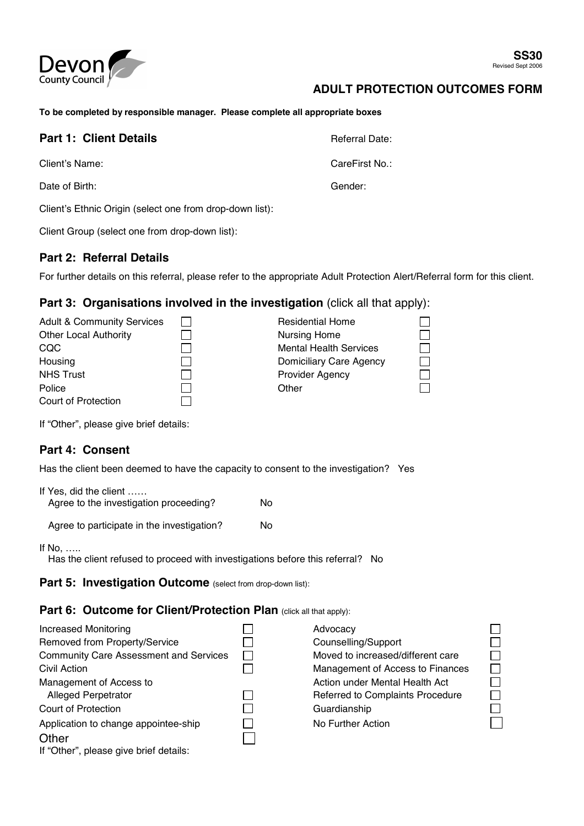

10000000

## **ADULT PROTECTION OUTCOMES FORM**

**To be completed by responsible manager. Please complete all appropriate boxes** 

| <b>Part 1: Client Details</b>                            | Referral Date: |
|----------------------------------------------------------|----------------|
| Client's Name:                                           | CareFirst No.: |
| Date of Birth:                                           | Gender:        |
| Client's Ethnic Origin (select one from drop-down list): |                |

Client Group (select one from drop-down list):

#### **Part 2: Referral Details**

For further details on this referral, please refer to the appropriate Adult Protection Alert/Referral form for this client.

## **Part 3: Organisations involved in the investigation** (click all that apply):

| <b>Adult &amp; Community Services</b> | <b>Residential Home</b>       |  |
|---------------------------------------|-------------------------------|--|
| <b>Other Local Authority</b>          | <b>Nursing Home</b>           |  |
| CQC                                   | <b>Mental Health Services</b> |  |
| Housing                               | Domiciliary Care Agency       |  |
| <b>NHS Trust</b>                      | <b>Provider Agency</b>        |  |
| Police                                | Other                         |  |
| Court of Protection                   |                               |  |

If "Other", please give brief details:

## **Part 4: Consent**

Has the client been deemed to have the capacity to consent to the investigation? Yes

| If Yes, did the client<br>Agree to the investigation proceeding? | N٥ |
|------------------------------------------------------------------|----|
| Agree to participate in the investigation?                       | N٥ |

If No, …..

Has the client refused to proceed with investigations before this referral? No

Part 5: Investigation Outcome (select from drop-down list):

#### **Part 6: Outcome for Client/Protection Plan (click all that apply):**

| <b>Increased Monitoring</b>                   | Advocacy                          |
|-----------------------------------------------|-----------------------------------|
| Removed from Property/Service                 | Counselling/Support               |
| <b>Community Care Assessment and Services</b> | Moved to increased/different care |
| Civil Action                                  | Management of Access to Finances  |
| Management of Access to                       | Action under Mental Health Act    |
| <b>Alleged Perpetrator</b>                    | Referred to Complaints Procedure  |
| Court of Protection                           | Guardianship                      |
| Application to change appointee-ship          | No Further Action                 |
| Other                                         |                                   |
| If "Other", please give brief details:        |                                   |